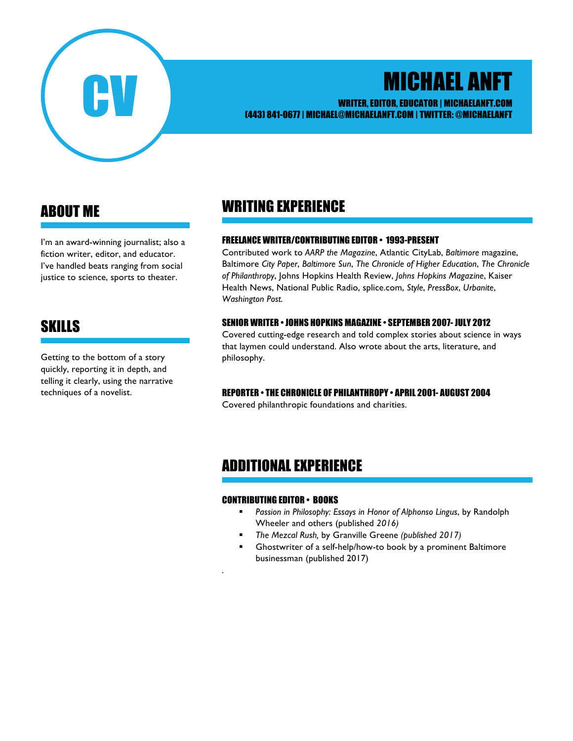

# MICHAEL ANFT

#### WRITER, EDITOR, EDUCATOR | MICHAELANFT.COM (443) 841-0677 | MICHAEL@MICHAELANFT.COM | TWITTER: @MICHAELANFT

# ABOUT ME

I'm an award-winning journalist; also a fiction writer, editor, and educator. I've handled beats ranging from social justice to science, sports to theater.

# SKILLS

Getting to the bottom of a story quickly, reporting it in depth, and telling it clearly, using the narrative techniques of a novelist.

## WRITING EXPERIENCE

#### FREELANCE WRITER/CONTRIBUTING EDITOR • 1993-PRESENT

Contributed work to *AARP the Magazine*, Atlantic CityLab, *Baltimore* magazine, Baltimore *City Paper*, *Baltimore Sun*, *The Chronicle of Higher Education*, *The Chronicle of Philanthropy*, Johns Hopkins Health Review, *Johns Hopkins Magazine*, Kaiser Health News, National Public Radio, splice.com, *Style*, *PressBox*, *Urbanite*, *Washington Post.*

#### SENIOR WRITER • JOHNS HOPKINS MAGAZINE • SEPTEMBER 2007- JULY 2012

Covered cutting-edge research and told complex stories about science in ways that laymen could understand. Also wrote about the arts, literature, and philosophy.

#### REPORTER • THE CHRONICLE OF PHILANTHROPY • APRIL 2001- AUGUST 2004

Covered philanthropic foundations and charities.

### ADDITIONAL EXPERIENCE

#### CONTRIBUTING EDITOR • BOOKS

*.*

- § *Passion in Philosophy: Essays in Honor of Alphonso Lingus*, by Randolph Wheeler and others (published *2016)*
- § *The Mezcal Rush,* by Granville Greene *(published 2017)*
- § Ghostwriter of a self-help/how-to book by a prominent Baltimore businessman (published 2017)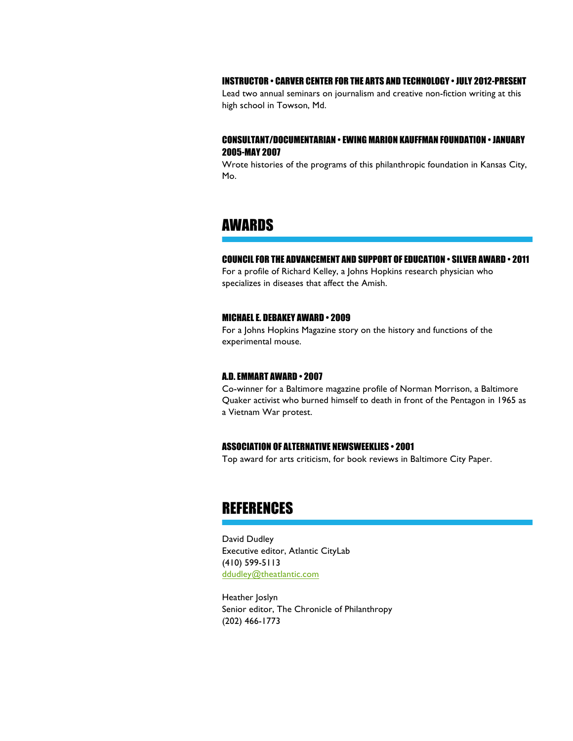#### INSTRUCTOR • CARVER CENTER FOR THE ARTS AND TECHNOLOGY • JULY 2012-PRESENT

Lead two annual seminars on journalism and creative non-fiction writing at this high school in Towson, Md.

#### CONSULTANT/DOCUMENTARIAN • EWING MARION KAUFFMAN FOUNDATION • JANUARY 2005-MAY 2007

Wrote histories of the programs of this philanthropic foundation in Kansas City, Mo.

### AWARDS

#### COUNCIL FOR THE ADVANCEMENT AND SUPPORT OF EDUCATION • SILVER AWARD • 2011

For a profile of Richard Kelley, a Johns Hopkins research physician who specializes in diseases that affect the Amish.

#### MICHAEL E. DEBAKEY AWARD • 2009

For a Johns Hopkins Magazine story on the history and functions of the experimental mouse.

#### A.D. EMMART AWARD • 2007

Co-winner for a Baltimore magazine profile of Norman Morrison, a Baltimore Quaker activist who burned himself to death in front of the Pentagon in 1965 as a Vietnam War protest.

#### ASSOCIATION OF ALTERNATIVE NEWSWEEKLIES • 2001

Top award for arts criticism, for book reviews in Baltimore City Paper.

### **REFERENCES**

David Dudley Executive editor, Atlantic CityLab (410) 599-5113 ddudley@theatlantic.com

Heather Joslyn Senior editor, The Chronicle of Philanthropy (202) 466-1773